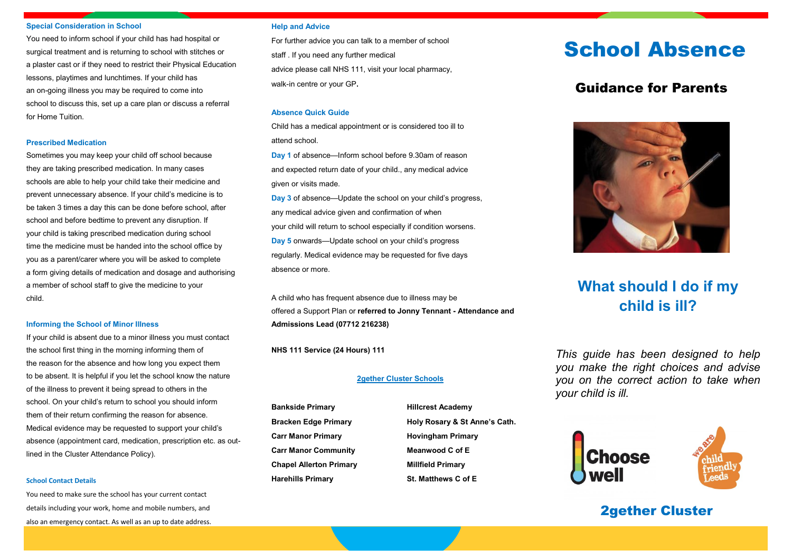#### **Special Consideration in School**

You need to inform school if your child has had hospital or surgical treatment and is returning to school with stitches or a plaster cast or if they need to restrict their Physical Education lessons, playtimes and lunchtimes. If your child has an on-going illness you may be required to come into school to discuss this, set up a care plan or discuss a referral for Home Tuition.

### **Prescribed Medication**

Sometimes you may keep your child off school because they are taking prescribed medication. In many cases schools are able to help your child take their medicine and prevent unnecessary absence. If your child's medicine is to be taken 3 times a day this can be done before school, after school and before bedtime to prevent any disruption. If your child is taking prescribed medication during school time the medicine must be handed into the school office by you as a parent/carer where you will be asked to complete a form giving details of medication and dosage and authorising a member of school staff to give the medicine to your child.

### **Informing the School of Minor Illness**

If your child is absent due to a minor illness you must contact the school first thing in the morning informing them of the reason for the absence and how long you expect them to be absent. It is helpful if you let the school know the nature of the illness to prevent it being spread to others in the school. On your child's return to school you should inform them of their return confirming the reason for absence. Medical evidence may be requested to support your child's absence (appointment card, medication, prescription etc. as outlined in the Cluster Attendance Policy).

#### **School Contact Details**

You need to make sure the school has your current contact details including your work, home and mobile numbers, and also an emergency contact. As well as an up to date address.

### **Help and Advice**

For further advice you can talk to a member of school staff . If you need any further medical advice please call NHS 111, visit your local pharmacy, walk-in centre or your GP**.**

### **Absence Quick Guide**

Child has a medical appointment or is considered too ill to attend school.

**Day 1** of absence—Inform school before 9.30am of reason and expected return date of your child., any medical advice given or visits made.

**Day 3** of absence—Update the school on your child's progress, any medical advice given and confirmation of when your child will return to school especially if condition worsens. **Day 5** onwards—Update school on your child's progress regularly. Medical evidence may be requested for five days absence or more.

A child who has frequent absence due to illness may be offered a Support Plan or **referred to Jonny Tennant - Attendance and Admissions Lead (07712 216238)**

**NHS 111 Service (24 Hours) 111**

### **2gether Cluster Schools**

**Bankside Primary Hillcrest Academy Carr Manor Primary Hovingham Primary Carr Manor Community Meanwood C of E Chapel Allerton Primary Millfield Primary Harehills Primary St. Matthews C of E**

Bracken Edge Primary **Holy Rosary & St Anne's Cath.** 

# School Absence

### Guidance for Parents



## **What should I do if my child is ill?**

*This guide has been designed to help you make the right choices and advise you on the correct action to take when your child is ill.*



### 2gether Cluster